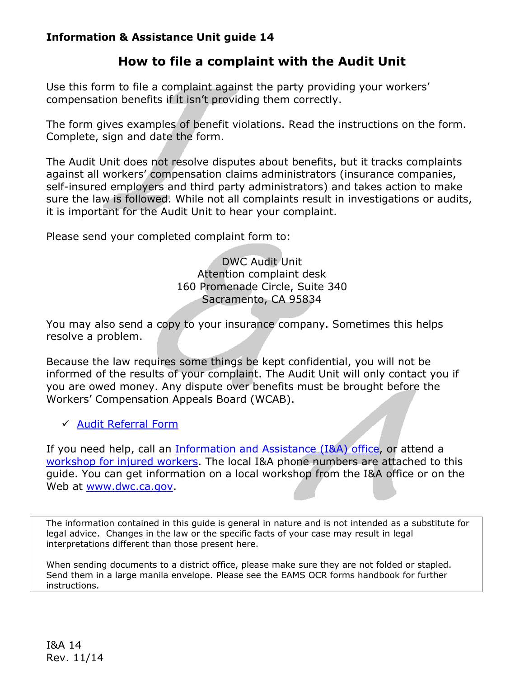## **Information & Assistance Unit guide 14**

## **How to file a complaint with the Audit Unit**

Use this form to file a complaint against the party providing your workers' compensation benefits if it isn't providing them correctly.

The form gives examples of benefit violations. Read the instructions on the form. Complete, sign and date the form.

The Audit Unit does not resolve disputes about benefits, but it tracks complaints against all workers' compensation claims administrators (insurance companies, self-insured employers and third party administrators) and takes action to make sure the law is followed. While not all complaints result in investigations or audits, it is important for the Audit Unit to hear your complaint.

Please send your completed complaint form to:

DWC Audit Unit Attention complaint desk 160 Promenade Circle, Suite 340 Sacramento, CA 95834

You may also send a copy to your insurance company. Sometimes this helps resolve a problem.

Because the law requires some things be kept confidential, you will not be informed of the results of your complaint. The Audit Unit will only contact you if you are owed money. Any dispute over benefits must be brought before the Workers' Compensation Appeals Board (WCAB).

 $\checkmark$  [Audit Referral Form](http://www.dir.ca.gov/dwc/iwguides/IWGuide14.pdf)

If you need help, call an [Information and Assistance \(I&A\) office,](http://www.dir.ca.gov/dwc/IandA.html) or attend a workshop for injured workers</u>. The local I&A phone numbers are attached to this guide. You can get information on a local workshop from the I&A office or on the Web at www.dwc.ca.gov.

 legal advice. Changes in the law or the specific facts of your case may result in legal The information contained in this guide is general in nature and is not intended as a substitute for interpretations different than those present here.

When sending documents to a district office, please make sure they are not folded or stapled. Send them in a large manila envelope. Please see the EAMS OCR forms handbook for further instructions.

I&A 14 Rev. 11/14